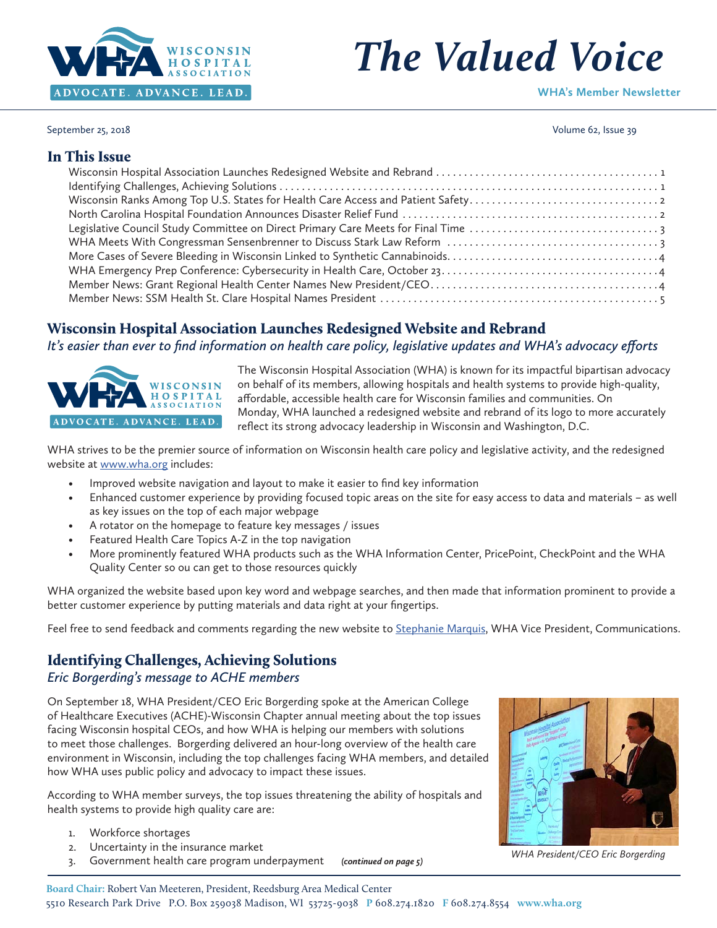

# *The Valued Voice*

**WHA's Member Newsletter**

September 25, 2018 Volume 62, Issue 39

# In This Issue

# Wisconsin Hospital Association Launches Redesigned Website and Rebrand

*It's easier than ever to find information on health care policy, legislative updates and WHA's advocacy efforts*



The Wisconsin Hospital Association (WHA) is known for its impactful bipartisan advocacy on behalf of its members, allowing hospitals and health systems to provide high-quality, affordable, accessible health care for Wisconsin families and communities. On Monday, WHA launched a redesigned website and rebrand of its logo to more accurately reflect its strong advocacy leadership in Wisconsin and Washington, D.C.

WHA strives to be the premier source of information on Wisconsin health care policy and legislative activity, and the redesigned website at [www.wha.org](http://www.wha.org) includes:

- Improved website navigation and layout to make it easier to find key information
- Enhanced customer experience by providing focused topic areas on the site for easy access to data and materials as well as key issues on the top of each major webpage
- A rotator on the homepage to feature key messages / issues
- Featured Health Care Topics A-Z in the top navigation
- More prominently featured WHA products such as the WHA Information Center, PricePoint, CheckPoint and the WHA Quality Center so ou can get to those resources quickly

WHA organized the website based upon key word and webpage searches, and then made that information prominent to provide a better customer experience by putting materials and data right at your fingertips.

Feel free to send feedback and comments regarding the new website to [Stephanie Marquis,](mailto:smarquis@wha.org) WHA Vice President, Communications.

# Identifying Challenges, Achieving Solutions

#### *Eric Borgerding's message to ACHE members*

On September 18, WHA President/CEO Eric Borgerding spoke at the American College of Healthcare Executives (ACHE)-Wisconsin Chapter annual meeting about the top issues facing Wisconsin hospital CEOs, and how WHA is helping our members with solutions to meet those challenges. Borgerding delivered an hour-long overview of the health care environment in Wisconsin, including the top challenges facing WHA members, and detailed how WHA uses public policy and advocacy to impact these issues.

According to WHA member surveys, the top issues threatening the ability of hospitals and health systems to provide high quality care are:

- 1. Workforce shortages
- 2. Uncertainty in the insurance market
- 3. Government health care program underpayment



*(continued on page 5) WHA President/CEO Eric Borgerding*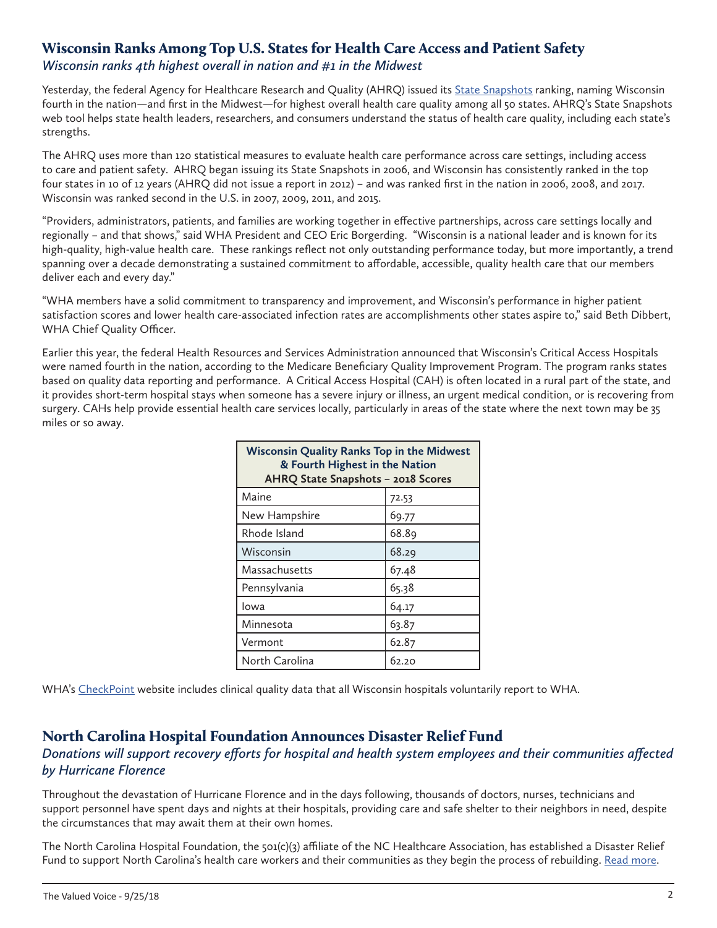## <span id="page-1-0"></span>Wisconsin Ranks Among Top U.S. States for Health Care Access and Patient Safety *Wisconsin ranks 4th highest overall in nation and #1 in the Midwest*

Yesterday, the federal Agency for Healthcare Research and Quality (AHRQ) issued its [State Snapshots](https://www.ahrq.gov/data/state-snapshots.html) ranking, naming Wisconsin fourth in the nation—and first in the Midwest—for highest overall health care quality among all 50 states. AHRQ's State Snapshots web tool helps state health leaders, researchers, and consumers understand the status of health care quality, including each state's strengths.

The AHRQ uses more than 120 statistical measures to evaluate health care performance across care settings, including access to care and patient safety. AHRQ began issuing its State Snapshots in 2006, and Wisconsin has consistently ranked in the top four states in 10 of 12 years (AHRQ did not issue a report in 2012) – and was ranked first in the nation in 2006, 2008, and 2017. Wisconsin was ranked second in the U.S. in 2007, 2009, 2011, and 2015.

"Providers, administrators, patients, and families are working together in effective partnerships, across care settings locally and regionally – and that shows," said WHA President and CEO Eric Borgerding. "Wisconsin is a national leader and is known for its high-quality, high-value health care. These rankings reflect not only outstanding performance today, but more importantly, a trend spanning over a decade demonstrating a sustained commitment to affordable, accessible, quality health care that our members deliver each and every day."

"WHA members have a solid commitment to transparency and improvement, and Wisconsin's performance in higher patient satisfaction scores and lower health care-associated infection rates are accomplishments other states aspire to," said Beth Dibbert, WHA Chief Quality Officer.

Earlier this year, the federal Health Resources and Services Administration announced that Wisconsin's Critical Access Hospitals were named fourth in the nation, according to the Medicare Beneficiary Quality Improvement Program. The program ranks states based on quality data reporting and performance. A Critical Access Hospital (CAH) is often located in a rural part of the state, and it provides short-term hospital stays when someone has a severe injury or illness, an urgent medical condition, or is recovering from surgery. CAHs help provide essential health care services locally, particularly in areas of the state where the next town may be 35 miles or so away.

| <b>Wisconsin Quality Ranks Top in the Midwest</b><br>& Fourth Highest in the Nation<br>AHRQ State Snapshots - 2018 Scores |       |  |
|---------------------------------------------------------------------------------------------------------------------------|-------|--|
| Maine                                                                                                                     | 72.53 |  |
| New Hampshire                                                                                                             | 69.77 |  |
| Rhode Island                                                                                                              | 68.89 |  |
| Wisconsin                                                                                                                 | 68.29 |  |
| Massachusetts                                                                                                             | 67.48 |  |
| Pennsylvania                                                                                                              | 65.38 |  |
| Iowa                                                                                                                      | 64.17 |  |
| Minnesota                                                                                                                 | 63.87 |  |
| Vermont                                                                                                                   | 62.87 |  |
| North Carolina                                                                                                            | 62.20 |  |

WHA's [CheckPoint](https://www.wicheckpoint.org/Home_main.aspx) website includes clinical quality data that all Wisconsin hospitals voluntarily report to WHA.

# North Carolina Hospital Foundation Announces Disaster Relief Fund

# *Donations will support recovery efforts for hospital and health system employees and their communities affected by Hurricane Florence*

Throughout the devastation of Hurricane Florence and in the days following, thousands of doctors, nurses, technicians and support personnel have spent days and nights at their hospitals, providing care and safe shelter to their neighbors in need, despite the circumstances that may await them at their own homes.

The North Carolina Hospital Foundation, the 501(c)(3) affiliate of the NC Healthcare Association, has established a Disaster Relief Fund to support North Carolina's health care workers and their communities as they begin the process of rebuilding. [Read more.](https://www.ncha.org/2018/09/news-release-nc-hospital-foundation-announces-disaster-relief-fund)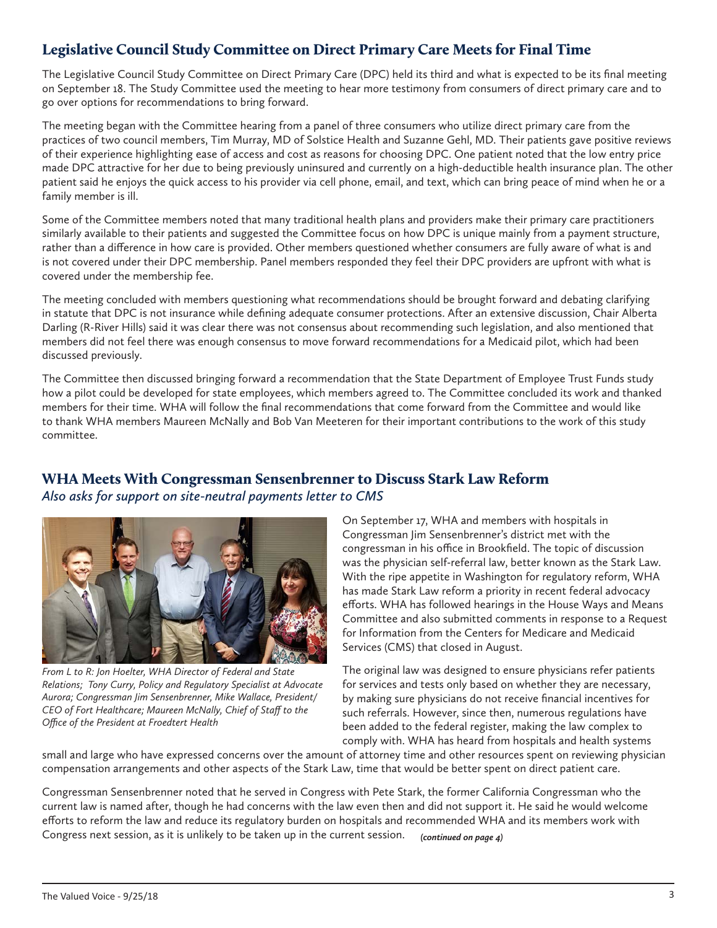# <span id="page-2-0"></span>Legislative Council Study Committee on Direct Primary Care Meets for Final Time

The Legislative Council Study Committee on Direct Primary Care (DPC) held its third and what is expected to be its final meeting on September 18. The Study Committee used the meeting to hear more testimony from consumers of direct primary care and to go over options for recommendations to bring forward.

The meeting began with the Committee hearing from a panel of three consumers who utilize direct primary care from the practices of two council members, Tim Murray, MD of Solstice Health and Suzanne Gehl, MD. Their patients gave positive reviews of their experience highlighting ease of access and cost as reasons for choosing DPC. One patient noted that the low entry price made DPC attractive for her due to being previously uninsured and currently on a high-deductible health insurance plan. The other patient said he enjoys the quick access to his provider via cell phone, email, and text, which can bring peace of mind when he or a family member is ill.

Some of the Committee members noted that many traditional health plans and providers make their primary care practitioners similarly available to their patients and suggested the Committee focus on how DPC is unique mainly from a payment structure, rather than a difference in how care is provided. Other members questioned whether consumers are fully aware of what is and is not covered under their DPC membership. Panel members responded they feel their DPC providers are upfront with what is covered under the membership fee.

The meeting concluded with members questioning what recommendations should be brought forward and debating clarifying in statute that DPC is not insurance while defining adequate consumer protections. After an extensive discussion, Chair Alberta Darling (R-River Hills) said it was clear there was not consensus about recommending such legislation, and also mentioned that members did not feel there was enough consensus to move forward recommendations for a Medicaid pilot, which had been discussed previously.

The Committee then discussed bringing forward a recommendation that the State Department of Employee Trust Funds study how a pilot could be developed for state employees, which members agreed to. The Committee concluded its work and thanked members for their time. WHA will follow the final recommendations that come forward from the Committee and would like to thank WHA members Maureen McNally and Bob Van Meeteren for their important contributions to the work of this study committee.

# WHA Meets With Congressman Sensenbrenner to Discuss Stark Law Reform

*Also asks for support on site-neutral payments letter to CMS*



*From L to R: Jon Hoelter, WHA Director of Federal and State Relations; Tony Curry, Policy and Regulatory Specialist at Advocate Aurora; Congressman Jim Sensenbrenner, Mike Wallace, President/ CEO of Fort Healthcare; Maureen McNally, Chief of Staff to the Office of the President at Froedtert Health*

On September 17, WHA and members with hospitals in Congressman Jim Sensenbrenner's district met with the congressman in his office in Brookfield. The topic of discussion was the physician self-referral law, better known as the Stark Law. With the ripe appetite in Washington for regulatory reform, WHA has made Stark Law reform a priority in recent federal advocacy efforts. WHA has followed hearings in the House Ways and Means Committee and also submitted comments in response to a Request for Information from the Centers for Medicare and Medicaid Services (CMS) that closed in August.

The original law was designed to ensure physicians refer patients for services and tests only based on whether they are necessary, by making sure physicians do not receive financial incentives for such referrals. However, since then, numerous regulations have been added to the federal register, making the law complex to comply with. WHA has heard from hospitals and health systems

small and large who have expressed concerns over the amount of attorney time and other resources spent on reviewing physician compensation arrangements and other aspects of the Stark Law, time that would be better spent on direct patient care.

Congressman Sensenbrenner noted that he served in Congress with Pete Stark, the former California Congressman who the current law is named after, though he had concerns with the law even then and did not support it. He said he would welcome efforts to reform the law and reduce its regulatory burden on hospitals and recommended WHA and its members work with Congress next session, as it is unlikely to be taken up in the current session. *(continued on page 4)*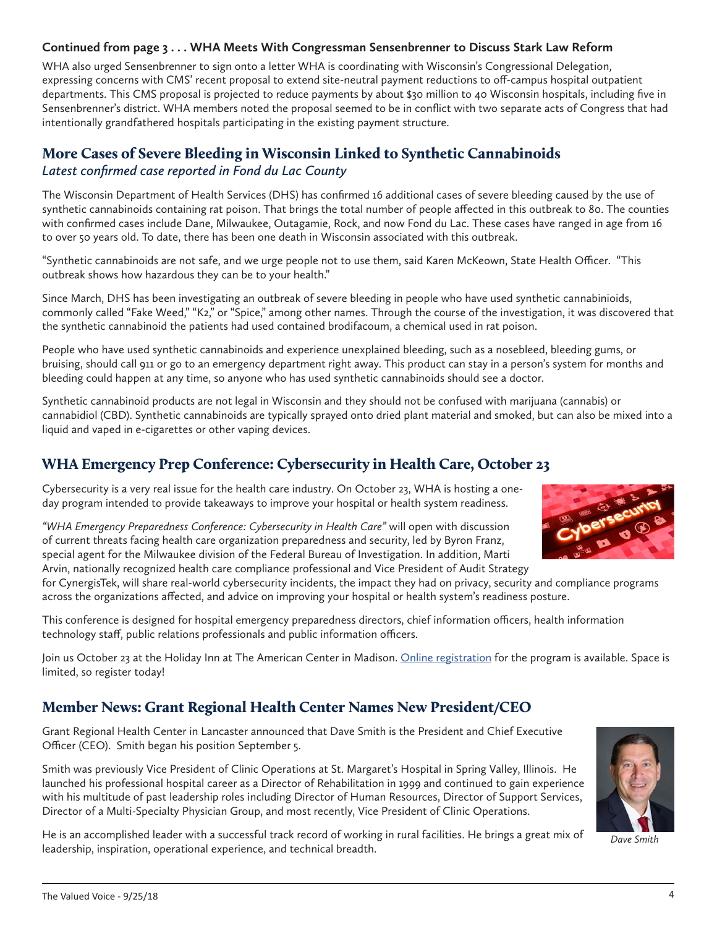#### <span id="page-3-0"></span>**Continued from page 3 . . . WHA Meets With Congressman Sensenbrenner to Discuss Stark Law Reform**

WHA also urged Sensenbrenner to sign onto a letter WHA is coordinating with Wisconsin's Congressional Delegation, expressing concerns with CMS' recent proposal to extend site-neutral payment reductions to off-campus hospital outpatient departments. This CMS proposal is projected to reduce payments by about \$30 million to 40 Wisconsin hospitals, including five in Sensenbrenner's district. WHA members noted the proposal seemed to be in conflict with two separate acts of Congress that had intentionally grandfathered hospitals participating in the existing payment structure.

# More Cases of Severe Bleeding in Wisconsin Linked to Synthetic Cannabinoids *Latest confirmed case reported in Fond du Lac County*

The Wisconsin Department of Health Services (DHS) has confirmed 16 additional cases of severe bleeding caused by the use of synthetic cannabinoids containing rat poison. That brings the total number of people affected in this outbreak to 80. The counties with confirmed cases include Dane, Milwaukee, Outagamie, Rock, and now Fond du Lac. These cases have ranged in age from 16 to over 50 years old. To date, there has been one death in Wisconsin associated with this outbreak.

"Synthetic cannabinoids are not safe, and we urge people not to use them, said Karen McKeown, State Health Officer. "This outbreak shows how hazardous they can be to your health."

Since March, DHS has been investigating an outbreak of severe bleeding in people who have used synthetic cannabinioids, commonly called "Fake Weed," "K2," or "Spice," among other names. Through the course of the investigation, it was discovered that the synthetic cannabinoid the patients had used contained brodifacoum, a chemical used in rat poison.

People who have used synthetic cannabinoids and experience unexplained bleeding, such as a nosebleed, bleeding gums, or bruising, should call 911 or go to an emergency department right away. This product can stay in a person's system for months and bleeding could happen at any time, so anyone who has used synthetic cannabinoids should see a doctor.

Synthetic cannabinoid products are not legal in Wisconsin and they should not be confused with marijuana (cannabis) or cannabidiol (CBD). Synthetic cannabinoids are typically sprayed onto dried plant material and smoked, but can also be mixed into a liquid and vaped in e-cigarettes or other vaping devices.

# WHA Emergency Prep Conference: Cybersecurity in Health Care, October 23

Cybersecurity is a very real issue for the health care industry. On October 23, WHA is hosting a oneday program intended to provide takeaways to improve your hospital or health system readiness.

*"WHA Emergency Preparedness Conference: Cybersecurity in Health Care"* will open with discussion of current threats facing health care organization preparedness and security, led by Byron Franz, special agent for the Milwaukee division of the Federal Bureau of Investigation. In addition, Marti Arvin, nationally recognized health care compliance professional and Vice President of Audit Strategy



for CynergisTek, will share real-world cybersecurity incidents, the impact they had on privacy, security and compliance programs across the organizations affected, and advice on improving your hospital or health system's readiness posture.

This conference is designed for hospital emergency preparedness directors, chief information officers, health information technology staff, public relations professionals and public information officers.

Join us October 23 at the Holiday Inn at The American Center in Madison. [Online registration](http://www.cvent.com/d/qgqb26) for the program is available. Space is limited, so register today!

# Member News: Grant Regional Health Center Names New President/CEO

Grant Regional Health Center in Lancaster announced that Dave Smith is the President and Chief Executive Officer (CEO). Smith began his position September 5.

Smith was previously Vice President of Clinic Operations at St. Margaret's Hospital in Spring Valley, Illinois. He launched his professional hospital career as a Director of Rehabilitation in 1999 and continued to gain experience with his multitude of past leadership roles including Director of Human Resources, Director of Support Services, Director of a Multi-Specialty Physician Group, and most recently, Vice President of Clinic Operations.

He is an accomplished leader with a successful track record of working in rural facilities. He brings a great mix of leadership, inspiration, operational experience, and technical breadth.



*Dave Smith*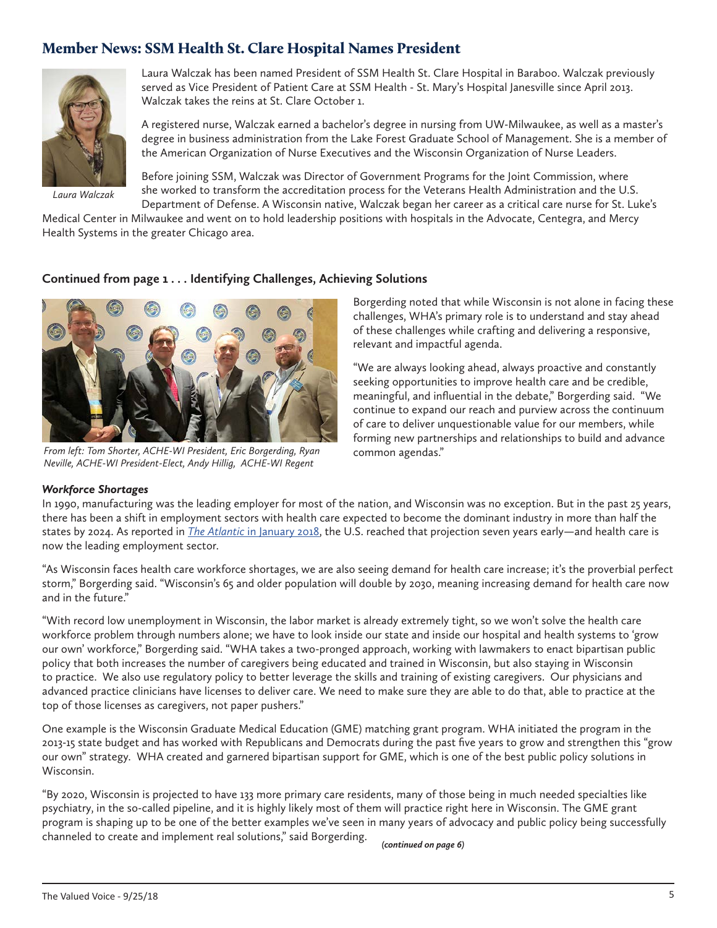# <span id="page-4-0"></span>Member News: SSM Health St. Clare Hospital Names President



*Laura Walczak*

Laura Walczak has been named President of SSM Health St. Clare Hospital in Baraboo. Walczak previously served as Vice President of Patient Care at SSM Health - St. Mary's Hospital Janesville since April 2013. Walczak takes the reins at St. Clare October 1.

A registered nurse, Walczak earned a bachelor's degree in nursing from UW-Milwaukee, as well as a master's degree in business administration from the Lake Forest Graduate School of Management. She is a member of the American Organization of Nurse Executives and the Wisconsin Organization of Nurse Leaders.

Before joining SSM, Walczak was Director of Government Programs for the Joint Commission, where she worked to transform the accreditation process for the Veterans Health Administration and the U.S. Department of Defense. A Wisconsin native, Walczak began her career as a critical care nurse for St. Luke's

Medical Center in Milwaukee and went on to hold leadership positions with hospitals in the Advocate, Centegra, and Mercy Health Systems in the greater Chicago area.

#### **Continued from page 1 . . . Identifying Challenges, Achieving Solutions**



*From left: Tom Shorter, ACHE-WI President, Eric Borgerding, Ryan Neville, ACHE-WI President-Elect, Andy Hillig, ACHE-WI Regent*

Borgerding noted that while Wisconsin is not alone in facing these challenges, WHA's primary role is to understand and stay ahead of these challenges while crafting and delivering a responsive, relevant and impactful agenda.

"We are always looking ahead, always proactive and constantly seeking opportunities to improve health care and be credible, meaningful, and influential in the debate," Borgerding said. "We continue to expand our reach and purview across the continuum of care to deliver unquestionable value for our members, while forming new partnerships and relationships to build and advance common agendas."

*Workforce Shortages* In 1990, manufacturing was the leading employer for most of the nation, and Wisconsin was no exception. But in the past 25 years, there has been a shift in employment sectors with health care expected to become the dominant industry in more than half the states by 2024. As reported in *The Atlantic* [in January 2018,](https://www.theatlantic.com/business/archive/2018/01/health-care-america-jobs/550079/) the U.S. reached that projection seven years early—and health care is now the leading employment sector.

"As Wisconsin faces health care workforce shortages, we are also seeing demand for health care increase; it's the proverbial perfect storm," Borgerding said. "Wisconsin's 65 and older population will double by 2030, meaning increasing demand for health care now and in the future."

"With record low unemployment in Wisconsin, the labor market is already extremely tight, so we won't solve the health care workforce problem through numbers alone; we have to look inside our state and inside our hospital and health systems to 'grow our own' workforce," Borgerding said. "WHA takes a two-pronged approach, working with lawmakers to enact bipartisan public policy that both increases the number of caregivers being educated and trained in Wisconsin, but also staying in Wisconsin to practice. We also use regulatory policy to better leverage the skills and training of existing caregivers. Our physicians and advanced practice clinicians have licenses to deliver care. We need to make sure they are able to do that, able to practice at the top of those licenses as caregivers, not paper pushers."

One example is the Wisconsin Graduate Medical Education (GME) matching grant program. WHA initiated the program in the 2013-15 state budget and has worked with Republicans and Democrats during the past five years to grow and strengthen this "grow our own" strategy. WHA created and garnered bipartisan support for GME, which is one of the best public policy solutions in Wisconsin.

"By 2020, Wisconsin is projected to have 133 more primary care residents, many of those being in much needed specialties like psychiatry, in the so-called pipeline, and it is highly likely most of them will practice right here in Wisconsin. The GME grant program is shaping up to be one of the better examples we've seen in many years of advocacy and public policy being successfully channeled to create and implement real solutions," said Borgerding.

*(continued on page 6)*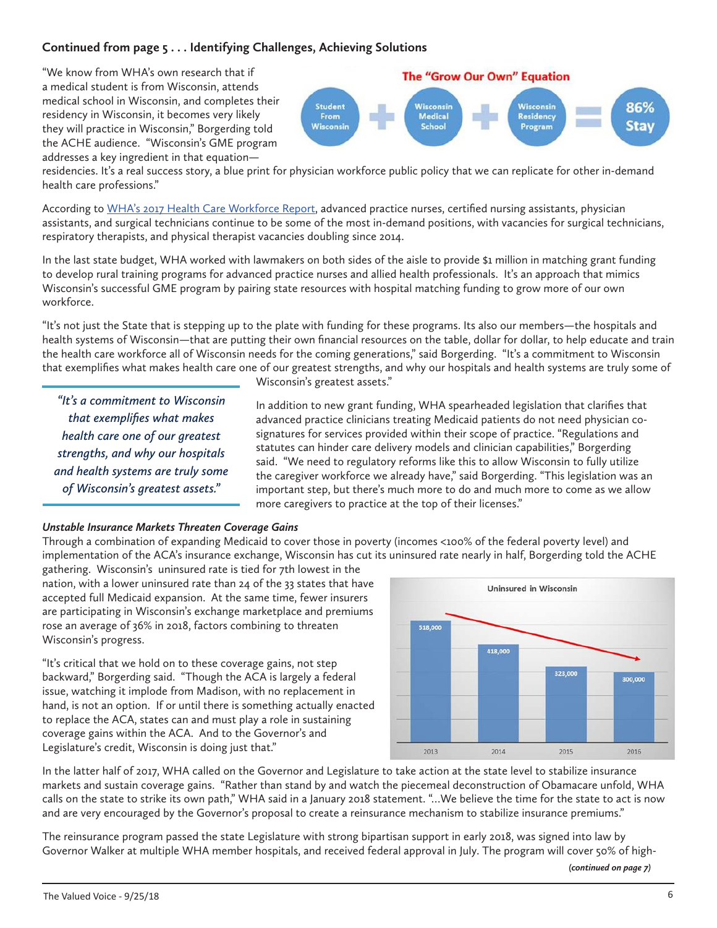## **Continued from page 5 . . . Identifying Challenges, Achieving Solutions**

"We know from WHA's own research that if a medical student is from Wisconsin, attends medical school in Wisconsin, and completes their residency in Wisconsin, it becomes very likely they will practice in Wisconsin," Borgerding told the ACHE audience. "Wisconsin's GME program addresses a key ingredient in that equation—

#### **The "Grow Our Own" Equation** 86% **Student Nisconsin** Wisconsin<br>Medical From Residency **Stav Wisconsin** School Program

residencies. It's a real success story, a blue print for physician workforce public policy that we can replicate for other in-demand health care professions."

According to [WHA's 2017 Health Care Workforce Report](https://www.wha.org/WisconsinHospitalAssociation/media/WHA-Reports/2017workforcereport_web.pdf), advanced practice nurses, certified nursing assistants, physician assistants, and surgical technicians continue to be some of the most in-demand positions, with vacancies for surgical technicians, respiratory therapists, and physical therapist vacancies doubling since 2014.

In the last state budget, WHA worked with lawmakers on both sides of the aisle to provide \$1 million in matching grant funding to develop rural training programs for advanced practice nurses and allied health professionals. It's an approach that mimics Wisconsin's successful GME program by pairing state resources with hospital matching funding to grow more of our own workforce.

"It's not just the State that is stepping up to the plate with funding for these programs. Its also our members—the hospitals and health systems of Wisconsin—that are putting their own financial resources on the table, dollar for dollar, to help educate and train the health care workforce all of Wisconsin needs for the coming generations," said Borgerding. "It's a commitment to Wisconsin that exemplifies what makes health care one of our greatest strengths, and why our hospitals and health systems are truly some of

*"It's a commitment to Wisconsin that exemplifies what makes health care one of our greatest strengths, and why our hospitals and health systems are truly some of Wisconsin's greatest assets."*

Wisconsin's greatest assets."

In addition to new grant funding, WHA spearheaded legislation that clarifies that advanced practice clinicians treating Medicaid patients do not need physician cosignatures for services provided within their scope of practice. "Regulations and statutes can hinder care delivery models and clinician capabilities," Borgerding said. "We need to regulatory reforms like this to allow Wisconsin to fully utilize the caregiver workforce we already have," said Borgerding. "This legislation was an important step, but there's much more to do and much more to come as we allow more caregivers to practice at the top of their licenses."

#### *Unstable Insurance Markets Threaten Coverage Gains*

Through a combination of expanding Medicaid to cover those in poverty (incomes <100% of the federal poverty level) and implementation of the ACA's insurance exchange, Wisconsin has cut its uninsured rate nearly in half, Borgerding told the ACHE

gathering. Wisconsin's uninsured rate is tied for 7th lowest in the nation, with a lower uninsured rate than 24 of the 33 states that have accepted full Medicaid expansion. At the same time, fewer insurers are participating in Wisconsin's exchange marketplace and premiums rose an average of 36% in 2018, factors combining to threaten Wisconsin's progress.

"It's critical that we hold on to these coverage gains, not step backward," Borgerding said. "Though the ACA is largely a federal issue, watching it implode from Madison, with no replacement in hand, is not an option. If or until there is something actually enacted to replace the ACA, states can and must play a role in sustaining coverage gains within the ACA. And to the Governor's and Legislature's credit, Wisconsin is doing just that."



In the latter half of 2017, WHA called on the Governor and Legislature to take action at the state level to stabilize insurance markets and sustain coverage gains. "Rather than stand by and watch the piecemeal deconstruction of Obamacare unfold, WHA calls on the state to strike its own path," WHA said in a January 2018 statement. "…We believe the time for the state to act is now and are very encouraged by the Governor's proposal to create a reinsurance mechanism to stabilize insurance premiums."

The reinsurance program passed the state Legislature with strong bipartisan support in early 2018, was signed into law by Governor Walker at multiple WHA member hospitals, and received federal approval in July. The program will cover 50% of high-

*(continued on page 7)*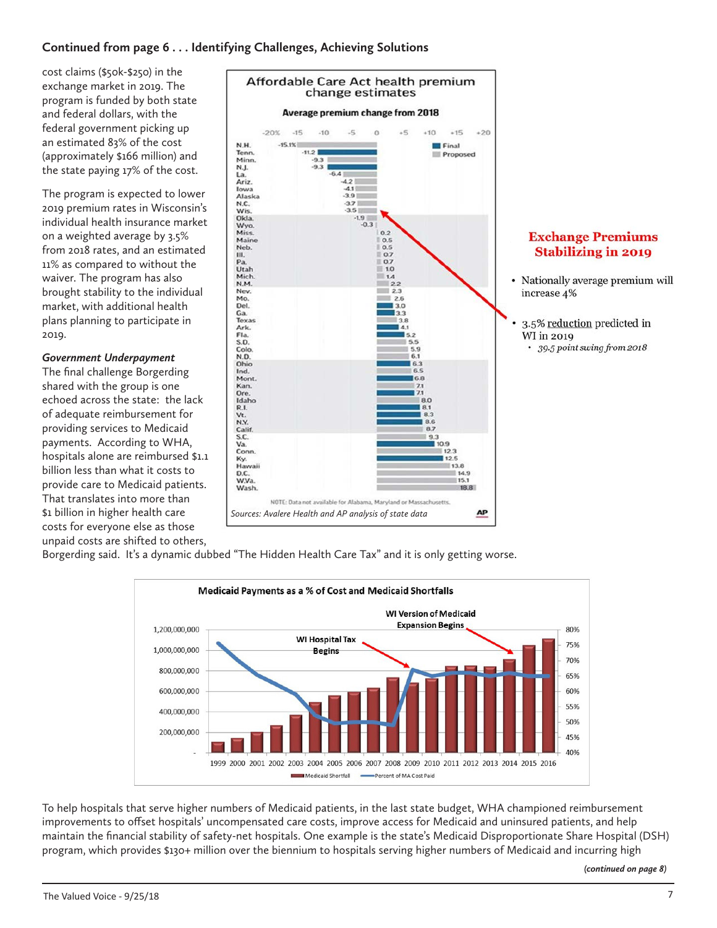# **Continued from page 6 . . . Identifying Challenges, Achieving Solutions**

cost claims (\$50k-\$250) in the exchange market in 2019. The program is funded by both state and federal dollars, with the federal government picking up an estimated 83% of the cost (approximately \$166 million) and the state paying 17% of the cost.

The program is expected to lower 2019 premium rates in Wisconsin's individual health insurance market on a weighted average by 3.5% from 2018 rates, and an estimated 11% as compared to without the waiver. The program has also brought stability to the individual market, with additional health plans planning to participate in 2019.

#### *Government Underpayment*

The final challenge Borgerding shared with the group is one echoed across the state: the lack of adequate reimbursement for providing services to Medicaid payments. According to WHA, hospitals alone are reimbursed \$1.1 billion less than what it costs to provide care to Medicaid patients. That translates into more than \$1 billion in higher health care costs for everyone else as those unpaid costs are shifted to others,



# **Exchange Premiums Stabilizing in 2019**

- Nationally average premium will increase 4%
- 3.5% reduction predicted in WI in 2019 • 39.5 point swing from 2018

Borgerding said. It's a dynamic dubbed "The Hidden Health Care Tax" and it is only getting worse.



To help hospitals that serve higher numbers of Medicaid patients, in the last state budget, WHA championed reimbursement improvements to offset hospitals' uncompensated care costs, improve access for Medicaid and uninsured patients, and help maintain the financial stability of safety-net hospitals. One example is the state's Medicaid Disproportionate Share Hospital (DSH) program, which provides \$130+ million over the biennium to hospitals serving higher numbers of Medicaid and incurring high

*(continued on page 8)*